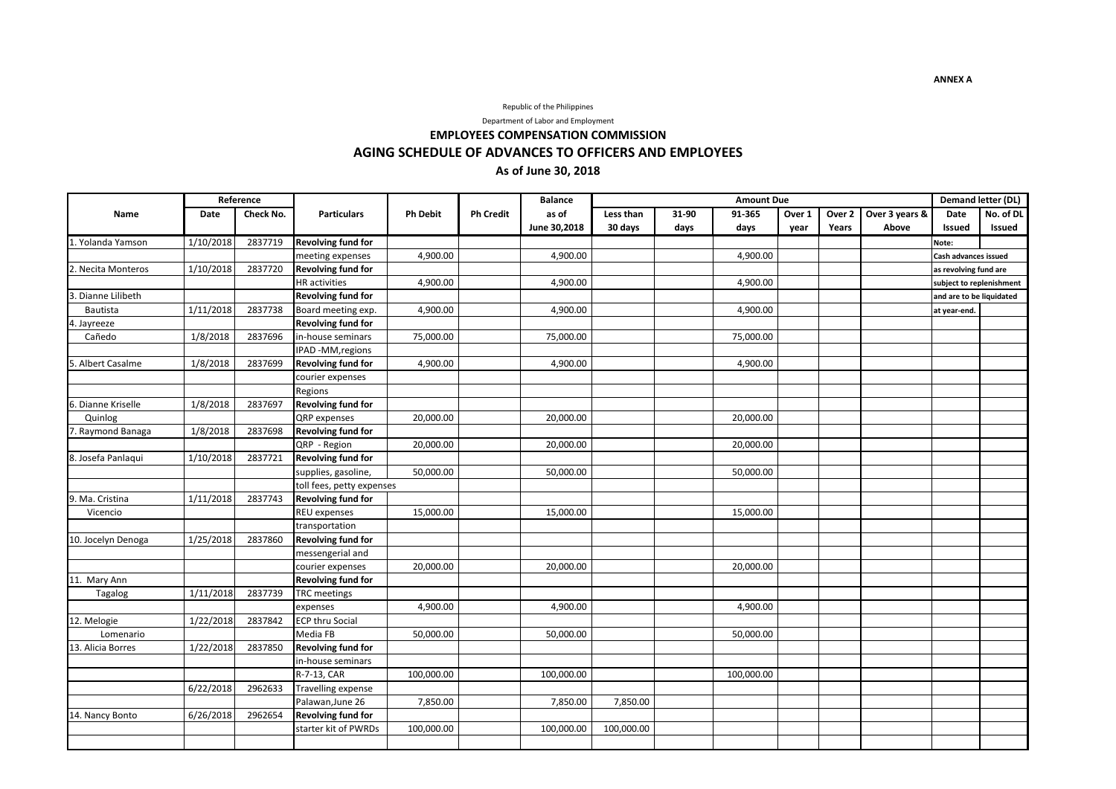### Republic of the Philippines

Department of Labor and Employment

# **EMPLOYEES COMPENSATION COMMISSION AGING SCHEDULE OF ADVANCES TO OFFICERS AND EMPLOYEES As of June 30, 2018**

|                    | Reference |           |                           |                 |                  | <b>Balance</b> | <b>Amount Due</b> |       |            |        |        |                | Demand letter (DL)       |           |
|--------------------|-----------|-----------|---------------------------|-----------------|------------------|----------------|-------------------|-------|------------|--------|--------|----------------|--------------------------|-----------|
| Name               | Date      | Check No. | <b>Particulars</b>        | <b>Ph Debit</b> | <b>Ph Credit</b> | as of          | Less than         | 31-90 | 91-365     | Over 1 | Over 2 | Over 3 years & | Date                     | No. of DL |
|                    |           |           |                           |                 |                  | June 30,2018   | 30 days           | days  | days       | year   | Years  | Above          | <b>Issued</b>            | Issued    |
| 1. Yolanda Yamson  | 1/10/2018 | 2837719   | <b>Revolving fund for</b> |                 |                  |                |                   |       |            |        |        |                | Note:                    |           |
|                    |           |           | meeting expenses          | 4,900.00        |                  | 4,900.00       |                   |       | 4,900.00   |        |        |                | Cash advances issued     |           |
| 2. Necita Monteros | 1/10/2018 | 2837720   | <b>Revolving fund for</b> |                 |                  |                |                   |       |            |        |        |                | as revolving fund are    |           |
|                    |           |           | <b>HR</b> activities      | 4,900.00        |                  | 4,900.00       |                   |       | 4,900.00   |        |        |                | subject to replenishment |           |
| Dianne Lilibeth    |           |           | <b>Revolving fund for</b> |                 |                  |                |                   |       |            |        |        |                | and are to be liquidated |           |
| Bautista           | 1/11/2018 | 2837738   | Board meeting exp.        | 4,900.00        |                  | 4,900.00       |                   |       | 4,900.00   |        |        |                | at year-end.             |           |
| 4. Jayreeze        |           |           | <b>Revolving fund for</b> |                 |                  |                |                   |       |            |        |        |                |                          |           |
| Cañedo             | 1/8/2018  | 2837696   | in-house seminars         | 75,000.00       |                  | 75,000.00      |                   |       | 75,000.00  |        |        |                |                          |           |
|                    |           |           | IPAD -MM, regions         |                 |                  |                |                   |       |            |        |        |                |                          |           |
| 5. Albert Casalme  | 1/8/2018  | 2837699   | <b>Revolving fund for</b> | 4,900.00        |                  | 4,900.00       |                   |       | 4,900.00   |        |        |                |                          |           |
|                    |           |           | courier expenses          |                 |                  |                |                   |       |            |        |        |                |                          |           |
|                    |           |           | Regions                   |                 |                  |                |                   |       |            |        |        |                |                          |           |
| 6. Dianne Kriselle | 1/8/2018  | 2837697   | <b>Revolving fund for</b> |                 |                  |                |                   |       |            |        |        |                |                          |           |
| Quinlog            |           |           | <b>QRP</b> expenses       | 20,000.00       |                  | 20,000.00      |                   |       | 20,000.00  |        |        |                |                          |           |
| . Raymond Banaga   | 1/8/2018  | 2837698   | <b>Revolving fund for</b> |                 |                  |                |                   |       |            |        |        |                |                          |           |
|                    |           |           | QRP - Region              | 20,000.00       |                  | 20,000.00      |                   |       | 20,000.00  |        |        |                |                          |           |
| 8. Josefa Panlagui | 1/10/2018 | 2837721   | <b>Revolving fund for</b> |                 |                  |                |                   |       |            |        |        |                |                          |           |
|                    |           |           | supplies, gasoline,       | 50,000.00       |                  | 50,000.00      |                   |       | 50,000.00  |        |        |                |                          |           |
|                    |           |           | toll fees, petty expenses |                 |                  |                |                   |       |            |        |        |                |                          |           |
| 9. Ma. Cristina    | 1/11/2018 | 2837743   | <b>Revolving fund for</b> |                 |                  |                |                   |       |            |        |        |                |                          |           |
| Vicencio           |           |           | REU expenses              | 15,000.00       |                  | 15,000.00      |                   |       | 15,000.00  |        |        |                |                          |           |
|                    |           |           | transportation            |                 |                  |                |                   |       |            |        |        |                |                          |           |
| 10. Jocelyn Denoga | 1/25/2018 | 2837860   | Revolving fund for        |                 |                  |                |                   |       |            |        |        |                |                          |           |
|                    |           |           | messengerial and          |                 |                  |                |                   |       |            |        |        |                |                          |           |
|                    |           |           | courier expenses          | 20,000.00       |                  | 20,000.00      |                   |       | 20,000.00  |        |        |                |                          |           |
| 11. Mary Ann       |           |           | <b>Revolving fund for</b> |                 |                  |                |                   |       |            |        |        |                |                          |           |
| Tagalog            | 1/11/2018 | 2837739   | <b>TRC</b> meetings       |                 |                  |                |                   |       |            |        |        |                |                          |           |
|                    |           |           | expenses                  | 4,900.00        |                  | 4,900.00       |                   |       | 4,900.00   |        |        |                |                          |           |
| 12. Melogie        | 1/22/2018 | 2837842   | <b>ECP thru Social</b>    |                 |                  |                |                   |       |            |        |        |                |                          |           |
| Lomenario          |           |           | Media FB                  | 50,000.00       |                  | 50,000.00      |                   |       | 50,000.00  |        |        |                |                          |           |
| 13. Alicia Borres  | 1/22/2018 | 2837850   | Revolving fund for        |                 |                  |                |                   |       |            |        |        |                |                          |           |
|                    |           |           | in-house seminars         |                 |                  |                |                   |       |            |        |        |                |                          |           |
|                    |           |           | R-7-13, CAR               | 100,000.00      |                  | 100,000.00     |                   |       | 100,000.00 |        |        |                |                          |           |
|                    | 6/22/2018 | 2962633   | <b>Travelling expense</b> |                 |                  |                |                   |       |            |        |        |                |                          |           |
|                    |           |           | Palawan, June 26          | 7,850.00        |                  | 7,850.00       | 7,850.00          |       |            |        |        |                |                          |           |
| 14. Nancy Bonto    | 6/26/2018 | 2962654   | <b>Revolving fund for</b> |                 |                  |                |                   |       |            |        |        |                |                          |           |
|                    |           |           | starter kit of PWRDs      | 100,000.00      |                  | 100,000.00     | 100,000.00        |       |            |        |        |                |                          |           |
|                    |           |           |                           |                 |                  |                |                   |       |            |        |        |                |                          |           |

**ANNEX A**